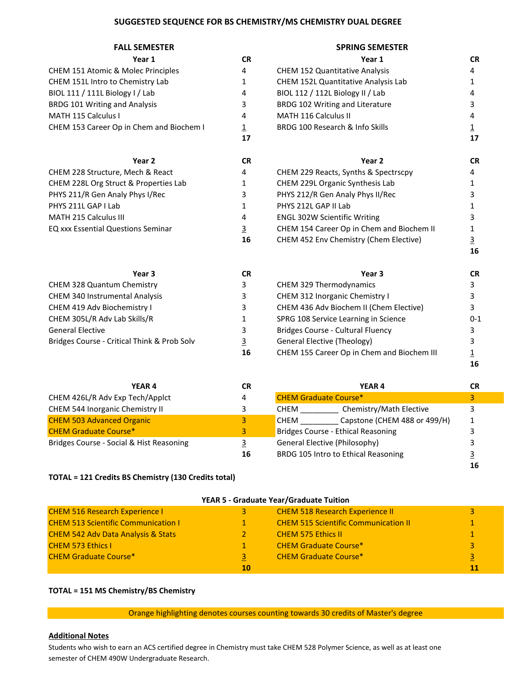## **SUGGESTED SEQUENCE FOR BS CHEMISTRY/MS CHEMISTRY DUAL DEGREE**

| <b>FALL SEMESTER</b>                      |                         | <b>SPRING SEMESTER</b>                     |                |
|-------------------------------------------|-------------------------|--------------------------------------------|----------------|
| Year 1                                    | <b>CR</b>               | Year 1                                     | <b>CR</b>      |
| CHEM 151 Atomic & Molec Principles        | 4                       | <b>CHEM 152 Quantitative Analysis</b>      | 4              |
| CHEM 151L Intro to Chemistry Lab          | $\mathbf{1}$            | <b>CHEM 152L Quantitative Analysis Lab</b> | 1              |
| BIOL 111 / 111L Biology I / Lab           | 4                       | BIOL 112 / 112L Biology II / Lab           | 4              |
| BRDG 101 Writing and Analysis             | 3                       | BRDG 102 Writing and Literature            | 3              |
| MATH 115 Calculus I                       | 4                       | <b>MATH 116 Calculus II</b>                | 4              |
| CHEM 153 Career Op in Chem and Biochem I  | $\overline{\mathbf{1}}$ | BRDG 100 Research & Info Skills            | $\overline{1}$ |
|                                           | 17                      |                                            | 17             |
| Year 2                                    | <b>CR</b>               | Year 2                                     | <b>CR</b>      |
| CHEM 228 Structure, Mech & React          | 4                       | CHEM 229 Reacts, Synths & Spectrscpy       | 4              |
| CHEM 228L Org Struct & Properties Lab     | 1                       | CHEM 229L Organic Synthesis Lab            | 1              |
| PHYS 211/R Gen Analy Phys I/Rec           | 3                       | PHYS 212/R Gen Analy Phys II/Rec           | 3              |
| PHYS 211L GAP I Lab                       | 1                       | PHYS 212L GAP II Lab                       |                |
| <b>MATH 215 Calculus III</b>              | 4                       | <b>ENGL 302W Scientific Writing</b>        | 3              |
| <b>EQ xxx Essential Questions Seminar</b> | <u>3</u>                | CHEM 154 Career Op in Chem and Biochem II  |                |
|                                           |                         |                                            |                |

| CHEM 153 Career Op in Chem and Biochem I  | 1<br>17   | BRDG 100 Research & Info Skills           |           |
|-------------------------------------------|-----------|-------------------------------------------|-----------|
| Year 2                                    | <b>CR</b> | Year 2                                    | <b>CR</b> |
| CHEM 228 Structure, Mech & React          | 4         | CHEM 229 Reacts, Synths & Spectrscpy      | 4         |
| CHEM 228L Org Struct & Properties Lab     | 1         | CHEM 229L Organic Synthesis Lab           |           |
| PHYS 211/R Gen Analy Phys I/Rec           | 3.        | PHYS 212/R Gen Analy Phys II/Rec          |           |
| PHYS 211L GAP I Lab                       | 1         | PHYS 212L GAP II Lab                      |           |
| MATH 215 Calculus III                     | 4         | <b>ENGL 302W Scientific Writing</b>       |           |
| <b>EQ xxx Essential Questions Seminar</b> | 3         | CHEM 154 Career Op in Chem and Biochem II |           |
|                                           | 16        | CHEM 452 Env Chemistry (Chem Elective)    |           |

**16**

**16**

**16**

**FALL SEMESTER SPRING SEMESTER**

| Year 3                                      | <b>CR</b>      | Year 3                                     | CR.     |
|---------------------------------------------|----------------|--------------------------------------------|---------|
| CHEM 328 Quantum Chemistry                  | 3              | CHEM 329 Thermodynamics                    |         |
| CHEM 340 Instrumental Analysis              | 3              | CHEM 312 Inorganic Chemistry I             |         |
| CHEM 419 Adv Biochemistry I                 | 3              | CHEM 436 Adv Biochem II (Chem Elective)    |         |
| CHEM 305L/R Adv Lab Skills/R                |                | SPRG 108 Service Learning in Science       | $0 - 1$ |
| <b>General Elective</b>                     | 3              | <b>Bridges Course - Cultural Fluency</b>   |         |
| Bridges Course - Critical Think & Prob Solv | $\overline{3}$ | General Elective (Theology)                |         |
|                                             | 16             | CHEM 155 Career Op in Chem and Biochem III |         |

| <b>YEAR 4</b><br>СR                      | <b>YEAR4</b>                                | <b>CR</b> |
|------------------------------------------|---------------------------------------------|-----------|
| CHEM 426L/R Adv Exp Tech/Applct<br>4     | <b>CHEM Graduate Course*</b>                | 3         |
| CHEM 544 Inorganic Chemistry II          | Chemistry/Math Elective<br><b>CHEM</b>      | 3         |
| <b>CHEM 503 Advanced Organic</b><br>3    | Capstone (CHEM 488 or 499/H)<br><b>CHEM</b> |           |
| <b>CHEM Graduate Course*</b><br>3        | Bridges Course - Ethical Reasoning          |           |
| Bridges Course - Social & Hist Reasoning | General Elective (Philosophy)               |           |
| 16                                       | BRDG 105 Intro to Ethical Reasoning         |           |

## **TOTAL = 121 Credits BS Chemistry (130 Credits total)**

| YEAR 5 - Graduate Year/Graduate Tuition       |    |                                             |    |
|-----------------------------------------------|----|---------------------------------------------|----|
| <b>CHEM 516 Research Experience I</b>         | 3  | <b>CHEM 518 Research Experience II</b>      | 3  |
| <b>CHEM 513 Scientific Communication I</b>    |    | <b>CHEM 515 Scientific Communication II</b> |    |
| <b>CHEM 542 Adv Data Analysis &amp; Stats</b> |    | <b>CHEM 575 Ethics II</b>                   |    |
| <b>CHEM 573 Ethics I</b>                      |    | <b>CHEM Graduate Course*</b>                | 3  |
| <b>CHEM Graduate Course*</b>                  | 3  | <b>CHEM Graduate Course*</b>                | 3  |
|                                               | 10 |                                             | 11 |

## **TOTAL = 151 MS Chemistry/BS Chemistry**

Orange highlighting denotes courses counting towards 30 credits of Master's degree

# **Additional Notes**

Students who wish to earn an ACS certified degree in Chemistry must take CHEM 528 Polymer Science, as well as at least one semester of CHEM 490W Undergraduate Research.